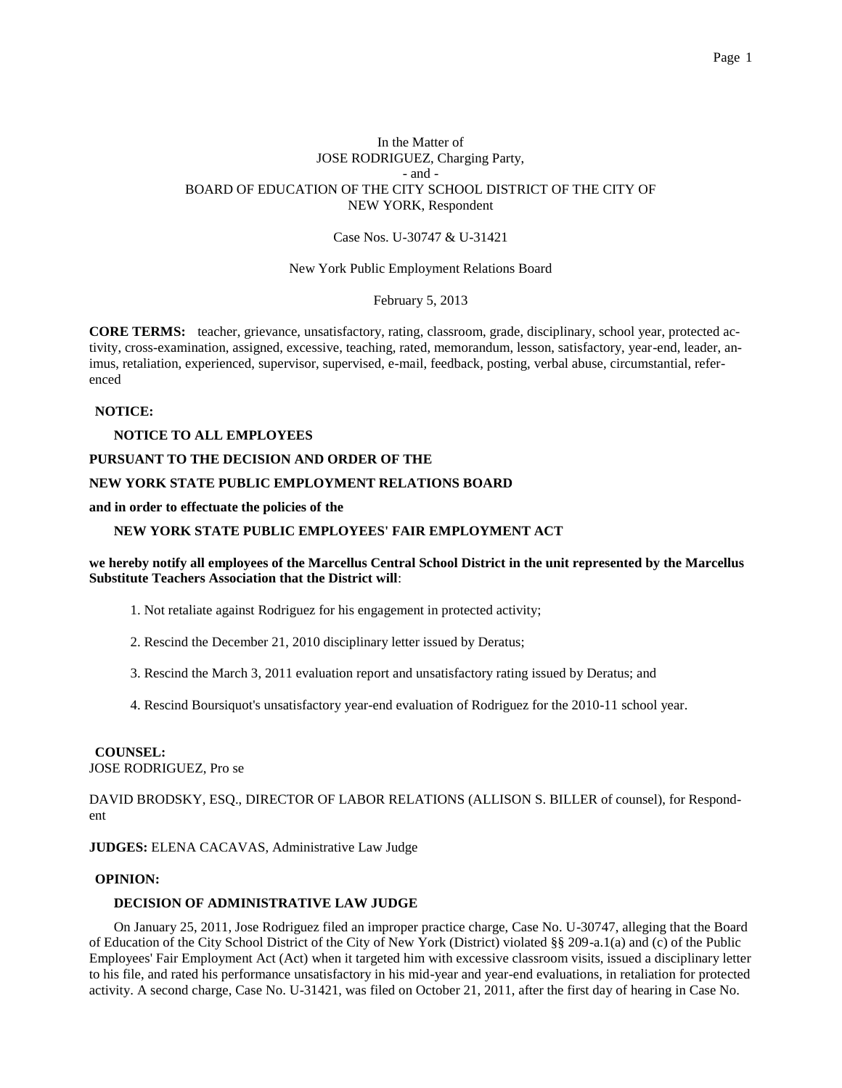# In the Matter of JOSE RODRIGUEZ, Charging Party, - and - BOARD OF EDUCATION OF THE CITY SCHOOL DISTRICT OF THE CITY OF NEW YORK, Respondent

## Case Nos. U-30747 & U-31421

New York Public Employment Relations Board

February 5, 2013

**CORE TERMS:** teacher, grievance, unsatisfactory, rating, classroom, grade, disciplinary, school year, protected activity, cross-examination, assigned, excessive, teaching, rated, memorandum, lesson, satisfactory, year-end, leader, animus, retaliation, experienced, supervisor, supervised, e-mail, feedback, posting, verbal abuse, circumstantial, referenced

#### **NOTICE:**

## **NOTICE TO ALL EMPLOYEES**

#### **PURSUANT TO THE DECISION AND ORDER OF THE**

## **NEW YORK STATE PUBLIC EMPLOYMENT RELATIONS BOARD**

#### **and in order to effectuate the policies of the**

## **NEW YORK STATE PUBLIC EMPLOYEES' FAIR EMPLOYMENT ACT**

## **we hereby notify all employees of the Marcellus Central School District in the unit represented by the Marcellus Substitute Teachers Association that the District will**:

- 1. Not retaliate against Rodriguez for his engagement in protected activity;
- 2. Rescind the December 21, 2010 disciplinary letter issued by Deratus;
- 3. Rescind the March 3, 2011 evaluation report and unsatisfactory rating issued by Deratus; and
- 4. Rescind Boursiquot's unsatisfactory year-end evaluation of Rodriguez for the 2010-11 school year.

#### **COUNSEL:**

JOSE RODRIGUEZ, Pro se

DAVID BRODSKY, ESQ., DIRECTOR OF LABOR RELATIONS (ALLISON S. BILLER of counsel), for Respondent

**JUDGES:** ELENA CACAVAS, Administrative Law Judge

## **OPINION:**

#### **DECISION OF ADMINISTRATIVE LAW JUDGE**

On January 25, 2011, Jose Rodriguez filed an improper practice charge, Case No. U-30747, alleging that the Board of Education of the City School District of the City of New York (District) violated §§ 209-a.1(a) and (c) of the Public Employees' Fair Employment Act (Act) when it targeted him with excessive classroom visits, issued a disciplinary letter to his file, and rated his performance unsatisfactory in his mid-year and year-end evaluations, in retaliation for protected activity. A second charge, Case No. U-31421, was filed on October 21, 2011, after the first day of hearing in Case No.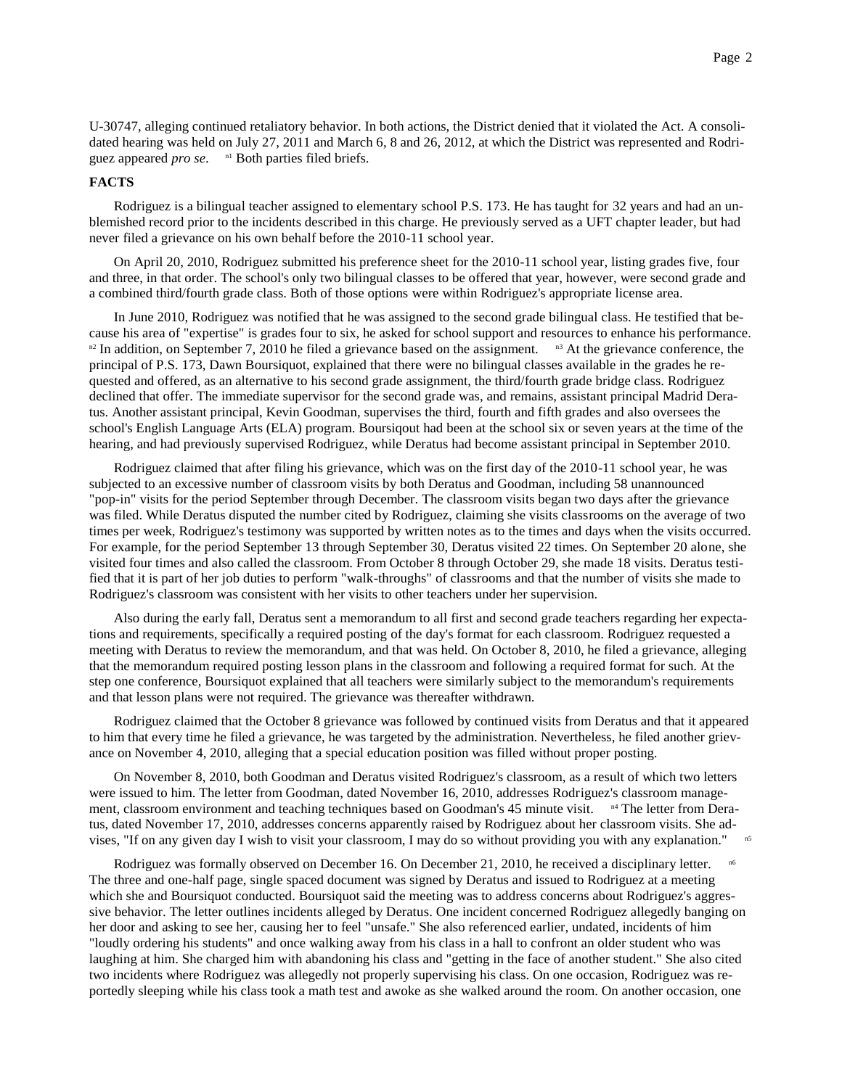U-30747, alleging continued retaliatory behavior. In both actions, the District denied that it violated the Act. A consolidated hearing was held on July 27, 2011 and March 6, 8 and 26, 2012, at which the District was represented and Rodriguez appeared *pro se*. n1 Both parties filed briefs.

### **FACTS**

Rodriguez is a bilingual teacher assigned to elementary school P.S. 173. He has taught for 32 years and had an unblemished record prior to the incidents described in this charge. He previously served as a UFT chapter leader, but had never filed a grievance on his own behalf before the 2010-11 school year.

On April 20, 2010, Rodriguez submitted his preference sheet for the 2010-11 school year, listing grades five, four and three, in that order. The school's only two bilingual classes to be offered that year, however, were second grade and a combined third/fourth grade class. Both of those options were within Rodriguez's appropriate license area.

In June 2010, Rodriguez was notified that he was assigned to the second grade bilingual class. He testified that because his area of "expertise" is grades four to six, he asked for school support and resources to enhance his performance.  $n<sup>2</sup>$  In addition, on September 7, 2010 he filed a grievance based on the assignment.  $n<sup>3</sup>$  At the grievance conference, the principal of P.S. 173, Dawn Boursiquot, explained that there were no bilingual classes available in the grades he requested and offered, as an alternative to his second grade assignment, the third/fourth grade bridge class. Rodriguez declined that offer. The immediate supervisor for the second grade was, and remains, assistant principal Madrid Deratus. Another assistant principal, Kevin Goodman, supervises the third, fourth and fifth grades and also oversees the school's English Language Arts (ELA) program. Boursiqout had been at the school six or seven years at the time of the hearing, and had previously supervised Rodriguez, while Deratus had become assistant principal in September 2010.

Rodriguez claimed that after filing his grievance, which was on the first day of the 2010-11 school year, he was subjected to an excessive number of classroom visits by both Deratus and Goodman, including 58 unannounced "pop-in" visits for the period September through December. The classroom visits began two days after the grievance was filed. While Deratus disputed the number cited by Rodriguez, claiming she visits classrooms on the average of two times per week, Rodriguez's testimony was supported by written notes as to the times and days when the visits occurred. For example, for the period September 13 through September 30, Deratus visited 22 times. On September 20 alone, she visited four times and also called the classroom. From October 8 through October 29, she made 18 visits. Deratus testified that it is part of her job duties to perform "walk-throughs" of classrooms and that the number of visits she made to Rodriguez's classroom was consistent with her visits to other teachers under her supervision.

Also during the early fall, Deratus sent a memorandum to all first and second grade teachers regarding her expectations and requirements, specifically a required posting of the day's format for each classroom. Rodriguez requested a meeting with Deratus to review the memorandum, and that was held. On October 8, 2010, he filed a grievance, alleging that the memorandum required posting lesson plans in the classroom and following a required format for such. At the step one conference, Boursiquot explained that all teachers were similarly subject to the memorandum's requirements and that lesson plans were not required. The grievance was thereafter withdrawn.

Rodriguez claimed that the October 8 grievance was followed by continued visits from Deratus and that it appeared to him that every time he filed a grievance, he was targeted by the administration. Nevertheless, he filed another grievance on November 4, 2010, alleging that a special education position was filled without proper posting.

On November 8, 2010, both Goodman and Deratus visited Rodriguez's classroom, as a result of which two letters were issued to him. The letter from Goodman, dated November 16, 2010, addresses Rodriguez's classroom management, classroom environment and teaching techniques based on Goodman's 45 minute visit. <sup>n4</sup> The letter from Deratus, dated November 17, 2010, addresses concerns apparently raised by Rodriguez about her classroom visits. She advises, "If on any given day I wish to visit your classroom, I may do so without providing you with any explanation." n5

Rodriguez was formally observed on December 16. On December 21, 2010, he received a disciplinary letter. The three and one-half page, single spaced document was signed by Deratus and issued to Rodriguez at a meeting which she and Boursiquot conducted. Boursiquot said the meeting was to address concerns about Rodriguez's aggressive behavior. The letter outlines incidents alleged by Deratus. One incident concerned Rodriguez allegedly banging on her door and asking to see her, causing her to feel "unsafe." She also referenced earlier, undated, incidents of him "loudly ordering his students" and once walking away from his class in a hall to confront an older student who was laughing at him. She charged him with abandoning his class and "getting in the face of another student." She also cited two incidents where Rodriguez was allegedly not properly supervising his class. On one occasion, Rodriguez was reportedly sleeping while his class took a math test and awoke as she walked around the room. On another occasion, one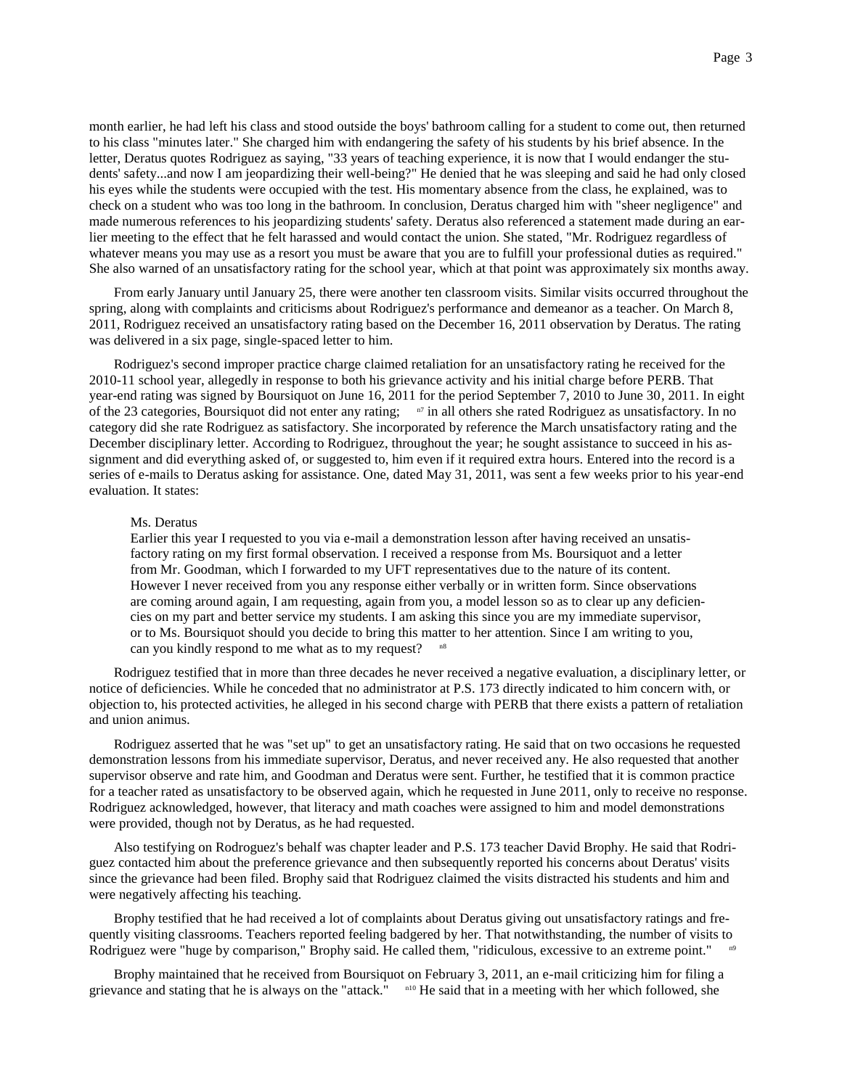month earlier, he had left his class and stood outside the boys' bathroom calling for a student to come out, then returned to his class "minutes later." She charged him with endangering the safety of his students by his brief absence. In the letter, Deratus quotes Rodriguez as saying, "33 years of teaching experience, it is now that I would endanger the students' safety...and now I am jeopardizing their well-being?" He denied that he was sleeping and said he had only closed his eyes while the students were occupied with the test. His momentary absence from the class, he explained, was to check on a student who was too long in the bathroom. In conclusion, Deratus charged him with "sheer negligence" and made numerous references to his jeopardizing students' safety. Deratus also referenced a statement made during an earlier meeting to the effect that he felt harassed and would contact the union. She stated, "Mr. Rodriguez regardless of whatever means you may use as a resort you must be aware that you are to fulfill your professional duties as required." She also warned of an unsatisfactory rating for the school year, which at that point was approximately six months away.

From early January until January 25, there were another ten classroom visits. Similar visits occurred throughout the spring, along with complaints and criticisms about Rodriguez's performance and demeanor as a teacher. On March 8, 2011, Rodriguez received an unsatisfactory rating based on the December 16, 2011 observation by Deratus. The rating was delivered in a six page, single-spaced letter to him.

Rodriguez's second improper practice charge claimed retaliation for an unsatisfactory rating he received for the 2010-11 school year, allegedly in response to both his grievance activity and his initial charge before PERB. That year-end rating was signed by Boursiquot on June 16, 2011 for the period September 7, 2010 to June 30, 2011. In eight of the 23 categories, Boursiquot did not enter any rating;  $n7$  in all others she rated Rodriguez as unsatisfactory. In no category did she rate Rodriguez as satisfactory. She incorporated by reference the March unsatisfactory rating and the December disciplinary letter. According to Rodriguez, throughout the year; he sought assistance to succeed in his assignment and did everything asked of, or suggested to, him even if it required extra hours. Entered into the record is a series of e-mails to Deratus asking for assistance. One, dated May 31, 2011, was sent a few weeks prior to his year-end evaluation. It states:

#### Ms. Deratus

Earlier this year I requested to you via e-mail a demonstration lesson after having received an unsatisfactory rating on my first formal observation. I received a response from Ms. Boursiquot and a letter from Mr. Goodman, which I forwarded to my UFT representatives due to the nature of its content. However I never received from you any response either verbally or in written form. Since observations are coming around again, I am requesting, again from you, a model lesson so as to clear up any deficiencies on my part and better service my students. I am asking this since you are my immediate supervisor, or to Ms. Boursiquot should you decide to bring this matter to her attention. Since I am writing to you, can you kindly respond to me what as to my request?

Rodriguez testified that in more than three decades he never received a negative evaluation, a disciplinary letter, or notice of deficiencies. While he conceded that no administrator at P.S. 173 directly indicated to him concern with, or objection to, his protected activities, he alleged in his second charge with PERB that there exists a pattern of retaliation and union animus.

Rodriguez asserted that he was "set up" to get an unsatisfactory rating. He said that on two occasions he requested demonstration lessons from his immediate supervisor, Deratus, and never received any. He also requested that another supervisor observe and rate him, and Goodman and Deratus were sent. Further, he testified that it is common practice for a teacher rated as unsatisfactory to be observed again, which he requested in June 2011, only to receive no response. Rodriguez acknowledged, however, that literacy and math coaches were assigned to him and model demonstrations were provided, though not by Deratus, as he had requested.

Also testifying on Rodroguez's behalf was chapter leader and P.S. 173 teacher David Brophy. He said that Rodriguez contacted him about the preference grievance and then subsequently reported his concerns about Deratus' visits since the grievance had been filed. Brophy said that Rodriguez claimed the visits distracted his students and him and were negatively affecting his teaching.

Brophy testified that he had received a lot of complaints about Deratus giving out unsatisfactory ratings and frequently visiting classrooms. Teachers reported feeling badgered by her. That notwithstanding, the number of visits to Rodriguez were "huge by comparison," Brophy said. He called them, "ridiculous, excessive to an extreme point."

Brophy maintained that he received from Boursiquot on February 3, 2011, an e-mail criticizing him for filing a grievance and stating that he is always on the "attack." <sup>n10</sup> He said that in a meeting with her which followed, she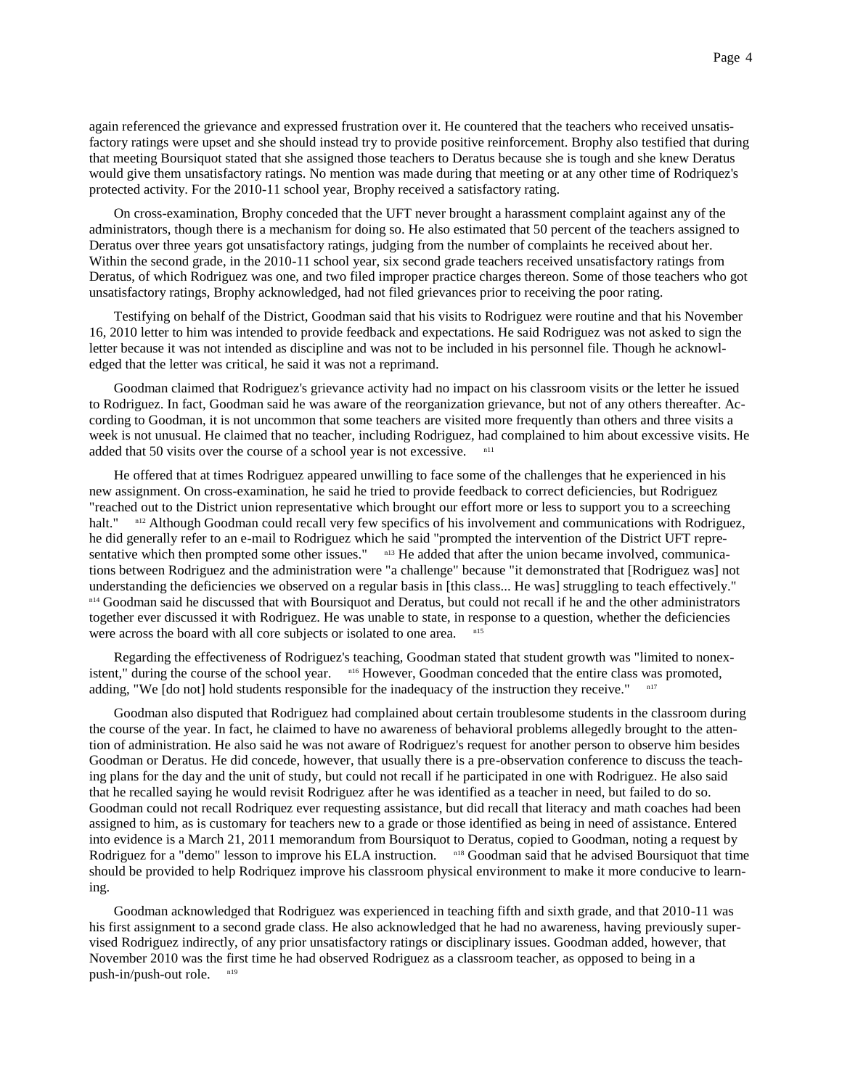again referenced the grievance and expressed frustration over it. He countered that the teachers who received unsatisfactory ratings were upset and she should instead try to provide positive reinforcement. Brophy also testified that during that meeting Boursiquot stated that she assigned those teachers to Deratus because she is tough and she knew Deratus would give them unsatisfactory ratings. No mention was made during that meeting or at any other time of Rodriquez's protected activity. For the 2010-11 school year, Brophy received a satisfactory rating.

On cross-examination, Brophy conceded that the UFT never brought a harassment complaint against any of the administrators, though there is a mechanism for doing so. He also estimated that 50 percent of the teachers assigned to Deratus over three years got unsatisfactory ratings, judging from the number of complaints he received about her. Within the second grade, in the 2010-11 school year, six second grade teachers received unsatisfactory ratings from Deratus, of which Rodriguez was one, and two filed improper practice charges thereon. Some of those teachers who got unsatisfactory ratings, Brophy acknowledged, had not filed grievances prior to receiving the poor rating.

Testifying on behalf of the District, Goodman said that his visits to Rodriguez were routine and that his November 16, 2010 letter to him was intended to provide feedback and expectations. He said Rodriguez was not asked to sign the letter because it was not intended as discipline and was not to be included in his personnel file. Though he acknowledged that the letter was critical, he said it was not a reprimand.

Goodman claimed that Rodriguez's grievance activity had no impact on his classroom visits or the letter he issued to Rodriguez. In fact, Goodman said he was aware of the reorganization grievance, but not of any others thereafter. According to Goodman, it is not uncommon that some teachers are visited more frequently than others and three visits a week is not unusual. He claimed that no teacher, including Rodriguez, had complained to him about excessive visits. He added that 50 visits over the course of a school year is not excessive.  $n_{11}$ 

He offered that at times Rodriguez appeared unwilling to face some of the challenges that he experienced in his new assignment. On cross-examination, he said he tried to provide feedback to correct deficiencies, but Rodriguez "reached out to the District union representative which brought our effort more or less to support you to a screeching halt." <sup>n12</sup> Although Goodman could recall very few specifics of his involvement and communications with Rodriguez, he did generally refer to an e-mail to Rodriguez which he said "prompted the intervention of the District UFT representative which then prompted some other issues." <sup>n13</sup> He added that after the union became involved, communications between Rodriguez and the administration were "a challenge" because "it demonstrated that [Rodriguez was] not understanding the deficiencies we observed on a regular basis in [this class... He was] struggling to teach effectively." n<sup>14</sup> Goodman said he discussed that with Boursiquot and Deratus, but could not recall if he and the other administrators together ever discussed it with Rodriguez. He was unable to state, in response to a question, whether the deficiencies were across the board with all core subjects or isolated to one area.

Regarding the effectiveness of Rodriguez's teaching, Goodman stated that student growth was "limited to nonexistent," during the course of the school year. n16 However, Goodman conceded that the entire class was promoted, adding, "We [do not] hold students responsible for the inadequacy of the instruction they receive." <sup>n17</sup>

Goodman also disputed that Rodriguez had complained about certain troublesome students in the classroom during the course of the year. In fact, he claimed to have no awareness of behavioral problems allegedly brought to the attention of administration. He also said he was not aware of Rodriguez's request for another person to observe him besides Goodman or Deratus. He did concede, however, that usually there is a pre-observation conference to discuss the teaching plans for the day and the unit of study, but could not recall if he participated in one with Rodriguez. He also said that he recalled saying he would revisit Rodriguez after he was identified as a teacher in need, but failed to do so. Goodman could not recall Rodriquez ever requesting assistance, but did recall that literacy and math coaches had been assigned to him, as is customary for teachers new to a grade or those identified as being in need of assistance. Entered into evidence is a March 21, 2011 memorandum from Boursiquot to Deratus, copied to Goodman, noting a request by Rodriguez for a "demo" lesson to improve his ELA instruction. n18 Goodman said that he advised Boursiquot that time should be provided to help Rodriquez improve his classroom physical environment to make it more conducive to learning.

Goodman acknowledged that Rodriguez was experienced in teaching fifth and sixth grade, and that 2010-11 was his first assignment to a second grade class. He also acknowledged that he had no awareness, having previously supervised Rodriguez indirectly, of any prior unsatisfactory ratings or disciplinary issues. Goodman added, however, that November 2010 was the first time he had observed Rodriguez as a classroom teacher, as opposed to being in a push-in/push-out role. n19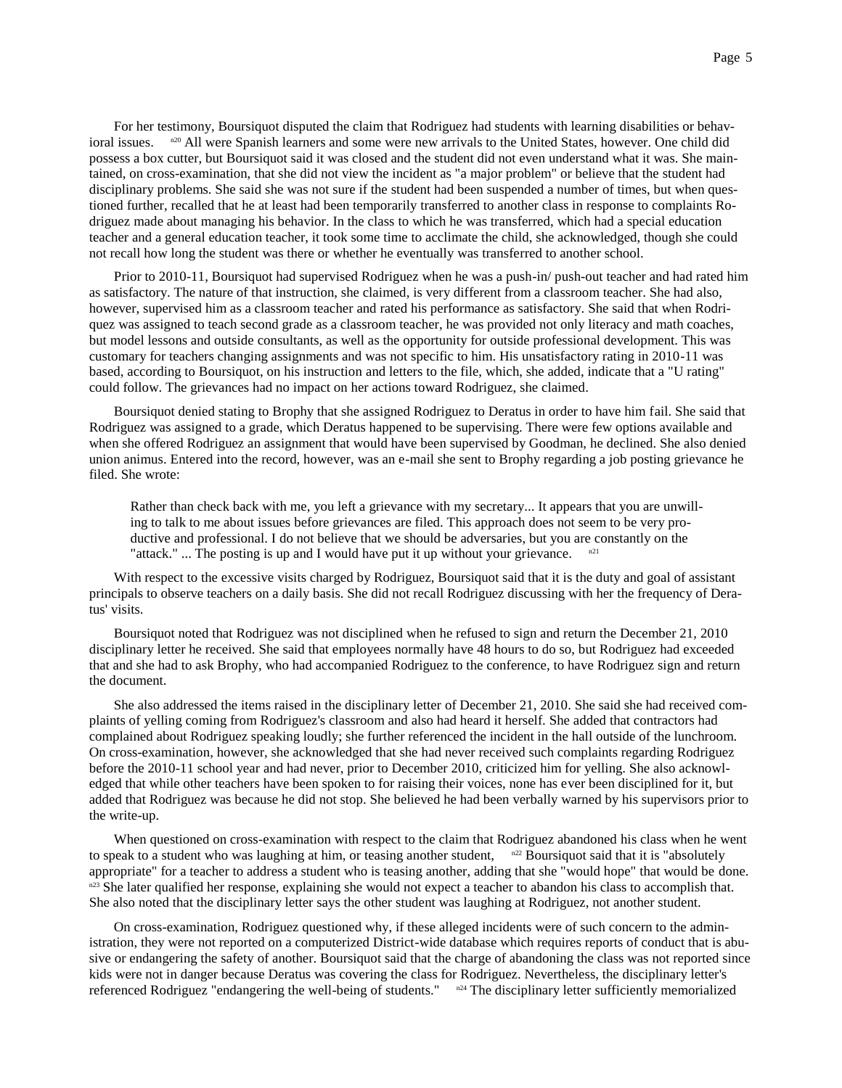For her testimony, Boursiquot disputed the claim that Rodriguez had students with learning disabilities or behavioral issues. n<sup>20</sup> All were Spanish learners and some were new arrivals to the United States, however. One child did possess a box cutter, but Boursiquot said it was closed and the student did not even understand what it was. She maintained, on cross-examination, that she did not view the incident as "a major problem" or believe that the student had disciplinary problems. She said she was not sure if the student had been suspended a number of times, but when questioned further, recalled that he at least had been temporarily transferred to another class in response to complaints Rodriguez made about managing his behavior. In the class to which he was transferred, which had a special education teacher and a general education teacher, it took some time to acclimate the child, she acknowledged, though she could not recall how long the student was there or whether he eventually was transferred to another school.

Prior to 2010-11, Boursiquot had supervised Rodriguez when he was a push-in/ push-out teacher and had rated him as satisfactory. The nature of that instruction, she claimed, is very different from a classroom teacher. She had also, however, supervised him as a classroom teacher and rated his performance as satisfactory. She said that when Rodriquez was assigned to teach second grade as a classroom teacher, he was provided not only literacy and math coaches, but model lessons and outside consultants, as well as the opportunity for outside professional development. This was customary for teachers changing assignments and was not specific to him. His unsatisfactory rating in 2010-11 was based, according to Boursiquot, on his instruction and letters to the file, which, she added, indicate that a "U rating" could follow. The grievances had no impact on her actions toward Rodriguez, she claimed.

Boursiquot denied stating to Brophy that she assigned Rodriguez to Deratus in order to have him fail. She said that Rodriguez was assigned to a grade, which Deratus happened to be supervising. There were few options available and when she offered Rodriguez an assignment that would have been supervised by Goodman, he declined. She also denied union animus. Entered into the record, however, was an e-mail she sent to Brophy regarding a job posting grievance he filed. She wrote:

Rather than check back with me, you left a grievance with my secretary... It appears that you are unwilling to talk to me about issues before grievances are filed. This approach does not seem to be very productive and professional. I do not believe that we should be adversaries, but you are constantly on the "attack." ... The posting is up and I would have put it up without your grievance.  $n^{21}$ 

With respect to the excessive visits charged by Rodriguez, Boursiquot said that it is the duty and goal of assistant principals to observe teachers on a daily basis. She did not recall Rodriguez discussing with her the frequency of Deratus' visits.

Boursiquot noted that Rodriguez was not disciplined when he refused to sign and return the December 21, 2010 disciplinary letter he received. She said that employees normally have 48 hours to do so, but Rodriguez had exceeded that and she had to ask Brophy, who had accompanied Rodriguez to the conference, to have Rodriguez sign and return the document.

She also addressed the items raised in the disciplinary letter of December 21, 2010. She said she had received complaints of yelling coming from Rodriguez's classroom and also had heard it herself. She added that contractors had complained about Rodriguez speaking loudly; she further referenced the incident in the hall outside of the lunchroom. On cross-examination, however, she acknowledged that she had never received such complaints regarding Rodriguez before the 2010-11 school year and had never, prior to December 2010, criticized him for yelling. She also acknowledged that while other teachers have been spoken to for raising their voices, none has ever been disciplined for it, but added that Rodriguez was because he did not stop. She believed he had been verbally warned by his supervisors prior to the write-up.

When questioned on cross-examination with respect to the claim that Rodriguez abandoned his class when he went to speak to a student who was laughing at him, or teasing another student,  $n^{22}$  Boursiquot said that it is "absolutely appropriate" for a teacher to address a student who is teasing another, adding that she "would hope" that would be done. n<sup>23</sup> She later qualified her response, explaining she would not expect a teacher to abandon his class to accomplish that. She also noted that the disciplinary letter says the other student was laughing at Rodriguez, not another student.

On cross-examination, Rodriguez questioned why, if these alleged incidents were of such concern to the administration, they were not reported on a computerized District-wide database which requires reports of conduct that is abusive or endangering the safety of another. Boursiquot said that the charge of abandoning the class was not reported since kids were not in danger because Deratus was covering the class for Rodriguez. Nevertheless, the disciplinary letter's referenced Rodriguez "endangering the well-being of students." <sup>n24</sup> The disciplinary letter sufficiently memorialized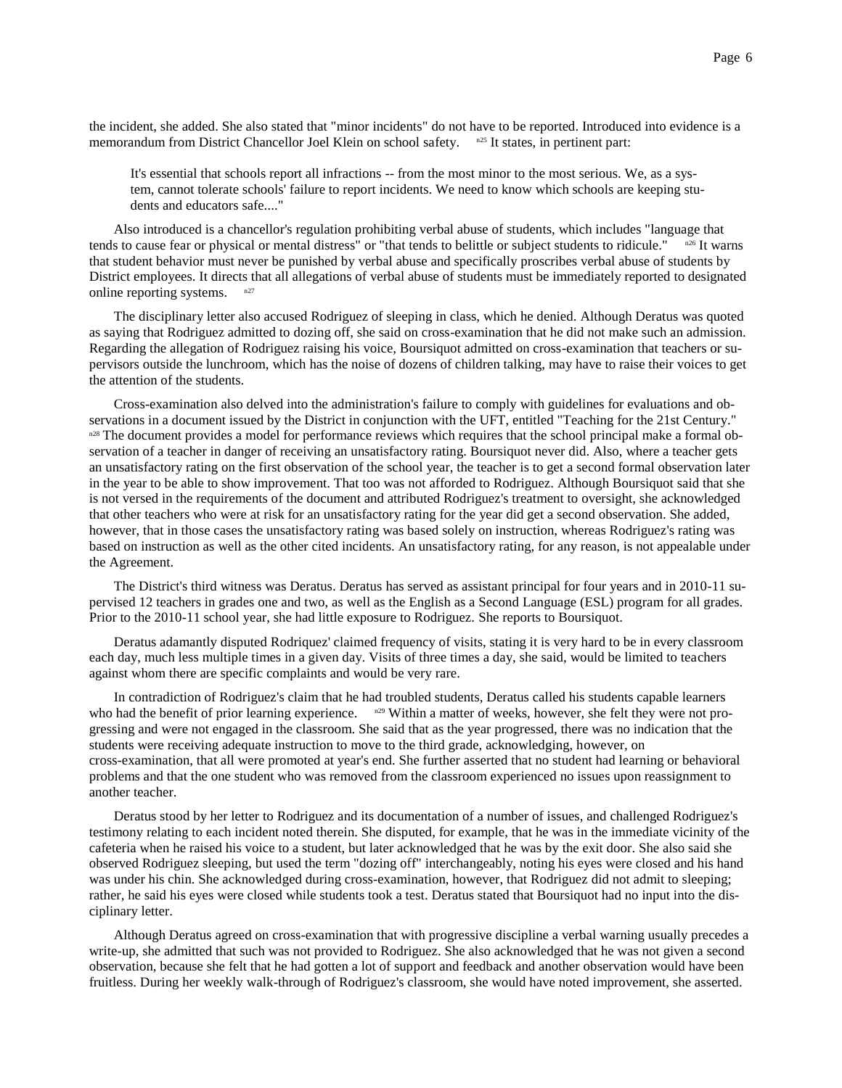the incident, she added. She also stated that "minor incidents" do not have to be reported. Introduced into evidence is a memorandum from District Chancellor Joel Klein on school safety. <sup>n25</sup> It states, in pertinent part:

It's essential that schools report all infractions -- from the most minor to the most serious. We, as a system, cannot tolerate schools' failure to report incidents. We need to know which schools are keeping students and educators safe...."

Also introduced is a chancellor's regulation prohibiting verbal abuse of students, which includes "language that tends to cause fear or physical or mental distress" or "that tends to belittle or subject students to ridicule." <sup>n26</sup> It warns that student behavior must never be punished by verbal abuse and specifically proscribes verbal abuse of students by District employees. It directs that all allegations of verbal abuse of students must be immediately reported to designated online reporting systems.  $n^{27}$ 

The disciplinary letter also accused Rodriguez of sleeping in class, which he denied. Although Deratus was quoted as saying that Rodriguez admitted to dozing off, she said on cross-examination that he did not make such an admission. Regarding the allegation of Rodriguez raising his voice, Boursiquot admitted on cross-examination that teachers or supervisors outside the lunchroom, which has the noise of dozens of children talking, may have to raise their voices to get the attention of the students.

Cross-examination also delved into the administration's failure to comply with guidelines for evaluations and observations in a document issued by the District in conjunction with the UFT, entitled "Teaching for the 21st Century." n<sup>28</sup> The document provides a model for performance reviews which requires that the school principal make a formal observation of a teacher in danger of receiving an unsatisfactory rating. Boursiquot never did. Also, where a teacher gets an unsatisfactory rating on the first observation of the school year, the teacher is to get a second formal observation later in the year to be able to show improvement. That too was not afforded to Rodriguez. Although Boursiquot said that she is not versed in the requirements of the document and attributed Rodriguez's treatment to oversight, she acknowledged that other teachers who were at risk for an unsatisfactory rating for the year did get a second observation. She added, however, that in those cases the unsatisfactory rating was based solely on instruction, whereas Rodriguez's rating was based on instruction as well as the other cited incidents. An unsatisfactory rating, for any reason, is not appealable under the Agreement.

The District's third witness was Deratus. Deratus has served as assistant principal for four years and in 2010-11 supervised 12 teachers in grades one and two, as well as the English as a Second Language (ESL) program for all grades. Prior to the 2010-11 school year, she had little exposure to Rodriguez. She reports to Boursiquot.

Deratus adamantly disputed Rodriquez' claimed frequency of visits, stating it is very hard to be in every classroom each day, much less multiple times in a given day. Visits of three times a day, she said, would be limited to teachers against whom there are specific complaints and would be very rare.

In contradiction of Rodriguez's claim that he had troubled students, Deratus called his students capable learners who had the benefit of prior learning experience.  $n^{29}$  Within a matter of weeks, however, she felt they were not progressing and were not engaged in the classroom. She said that as the year progressed, there was no indication that the students were receiving adequate instruction to move to the third grade, acknowledging, however, on cross-examination, that all were promoted at year's end. She further asserted that no student had learning or behavioral problems and that the one student who was removed from the classroom experienced no issues upon reassignment to another teacher.

Deratus stood by her letter to Rodriguez and its documentation of a number of issues, and challenged Rodriguez's testimony relating to each incident noted therein. She disputed, for example, that he was in the immediate vicinity of the cafeteria when he raised his voice to a student, but later acknowledged that he was by the exit door. She also said she observed Rodriguez sleeping, but used the term "dozing off" interchangeably, noting his eyes were closed and his hand was under his chin. She acknowledged during cross-examination, however, that Rodriguez did not admit to sleeping; rather, he said his eyes were closed while students took a test. Deratus stated that Boursiquot had no input into the disciplinary letter.

Although Deratus agreed on cross-examination that with progressive discipline a verbal warning usually precedes a write-up, she admitted that such was not provided to Rodriguez. She also acknowledged that he was not given a second observation, because she felt that he had gotten a lot of support and feedback and another observation would have been fruitless. During her weekly walk-through of Rodriguez's classroom, she would have noted improvement, she asserted.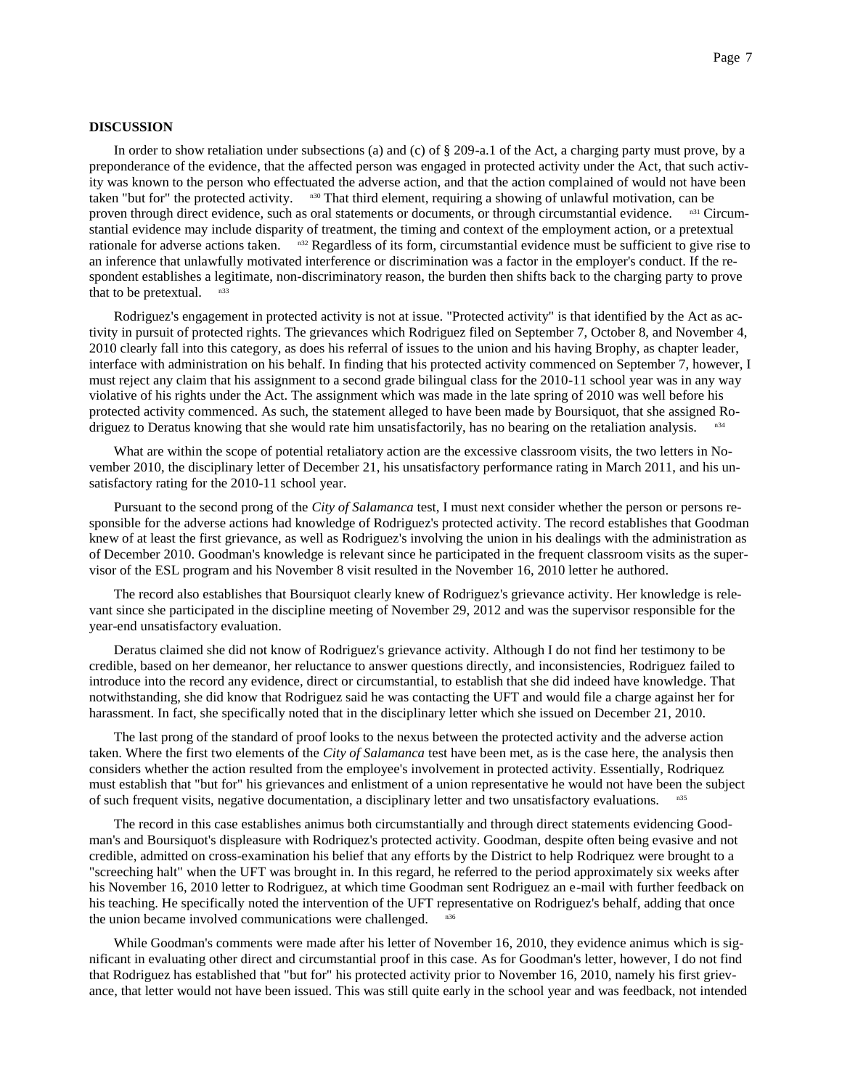## **DISCUSSION**

In order to show retaliation under subsections (a) and (c) of § 209-a.1 of the Act, a charging party must prove, by a preponderance of the evidence, that the affected person was engaged in protected activity under the Act, that such activity was known to the person who effectuated the adverse action, and that the action complained of would not have been taken "but for" the protected activity.  $n_{30}$  That third element, requiring a showing of unlawful motivation, can be proven through direct evidence, such as oral statements or documents, or through circumstantial evidence. n<sup>31</sup> Circumstantial evidence may include disparity of treatment, the timing and context of the employment action, or a pretextual rationale for adverse actions taken.  $n^{32}$  Regardless of its form, circumstantial evidence must be sufficient to give rise to an inference that unlawfully motivated interference or discrimination was a factor in the employer's conduct. If the respondent establishes a legitimate, non-discriminatory reason, the burden then shifts back to the charging party to prove that to be pretextual.

Rodriguez's engagement in protected activity is not at issue. "Protected activity" is that identified by the Act as activity in pursuit of protected rights. The grievances which Rodriguez filed on September 7, October 8, and November 4, 2010 clearly fall into this category, as does his referral of issues to the union and his having Brophy, as chapter leader, interface with administration on his behalf. In finding that his protected activity commenced on September 7, however, I must reject any claim that his assignment to a second grade bilingual class for the 2010-11 school year was in any way violative of his rights under the Act. The assignment which was made in the late spring of 2010 was well before his protected activity commenced. As such, the statement alleged to have been made by Boursiquot, that she assigned Rodriguez to Deratus knowing that she would rate him unsatisfactorily, has no bearing on the retaliation analysis. n34

What are within the scope of potential retaliatory action are the excessive classroom visits, the two letters in November 2010, the disciplinary letter of December 21, his unsatisfactory performance rating in March 2011, and his unsatisfactory rating for the 2010-11 school year.

Pursuant to the second prong of the *City of Salamanca* test, I must next consider whether the person or persons responsible for the adverse actions had knowledge of Rodriguez's protected activity. The record establishes that Goodman knew of at least the first grievance, as well as Rodriguez's involving the union in his dealings with the administration as of December 2010. Goodman's knowledge is relevant since he participated in the frequent classroom visits as the supervisor of the ESL program and his November 8 visit resulted in the November 16, 2010 letter he authored.

The record also establishes that Boursiquot clearly knew of Rodriguez's grievance activity. Her knowledge is relevant since she participated in the discipline meeting of November 29, 2012 and was the supervisor responsible for the year-end unsatisfactory evaluation.

Deratus claimed she did not know of Rodriguez's grievance activity. Although I do not find her testimony to be credible, based on her demeanor, her reluctance to answer questions directly, and inconsistencies, Rodriguez failed to introduce into the record any evidence, direct or circumstantial, to establish that she did indeed have knowledge. That notwithstanding, she did know that Rodriguez said he was contacting the UFT and would file a charge against her for harassment. In fact, she specifically noted that in the disciplinary letter which she issued on December 21, 2010.

The last prong of the standard of proof looks to the nexus between the protected activity and the adverse action taken. Where the first two elements of the *City of Salamanca* test have been met, as is the case here, the analysis then considers whether the action resulted from the employee's involvement in protected activity. Essentially, Rodriquez must establish that "but for" his grievances and enlistment of a union representative he would not have been the subject of such frequent visits, negative documentation, a disciplinary letter and two unsatisfactory evaluations.

The record in this case establishes animus both circumstantially and through direct statements evidencing Goodman's and Boursiquot's displeasure with Rodriquez's protected activity. Goodman, despite often being evasive and not credible, admitted on cross-examination his belief that any efforts by the District to help Rodriquez were brought to a "screeching halt" when the UFT was brought in. In this regard, he referred to the period approximately six weeks after his November 16, 2010 letter to Rodriguez, at which time Goodman sent Rodriguez an e-mail with further feedback on his teaching. He specifically noted the intervention of the UFT representative on Rodriguez's behalf, adding that once the union became involved communications were challenged.

While Goodman's comments were made after his letter of November 16, 2010, they evidence animus which is significant in evaluating other direct and circumstantial proof in this case. As for Goodman's letter, however, I do not find that Rodriguez has established that "but for" his protected activity prior to November 16, 2010, namely his first grievance, that letter would not have been issued. This was still quite early in the school year and was feedback, not intended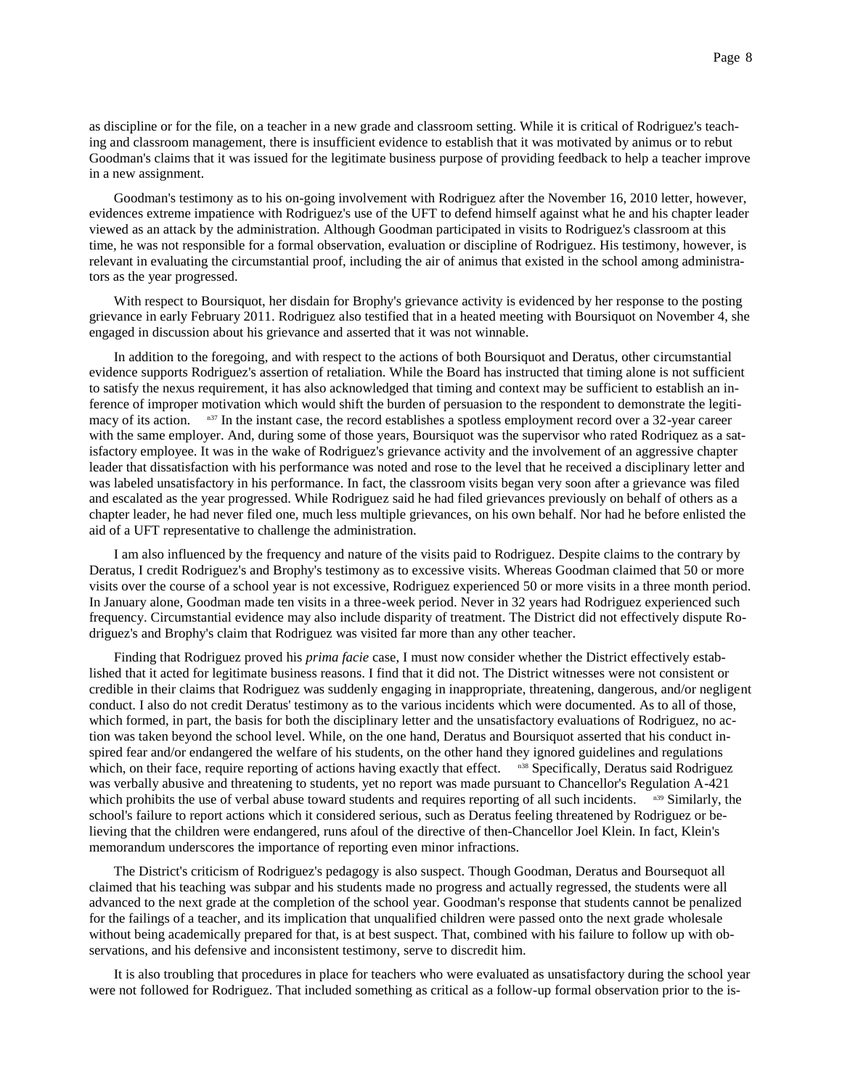as discipline or for the file, on a teacher in a new grade and classroom setting. While it is critical of Rodriguez's teaching and classroom management, there is insufficient evidence to establish that it was motivated by animus or to rebut Goodman's claims that it was issued for the legitimate business purpose of providing feedback to help a teacher improve in a new assignment.

Goodman's testimony as to his on-going involvement with Rodriguez after the November 16, 2010 letter, however, evidences extreme impatience with Rodriguez's use of the UFT to defend himself against what he and his chapter leader viewed as an attack by the administration. Although Goodman participated in visits to Rodriguez's classroom at this time, he was not responsible for a formal observation, evaluation or discipline of Rodriguez. His testimony, however, is relevant in evaluating the circumstantial proof, including the air of animus that existed in the school among administrators as the year progressed.

With respect to Boursiquot, her disdain for Brophy's grievance activity is evidenced by her response to the posting grievance in early February 2011. Rodriguez also testified that in a heated meeting with Boursiquot on November 4, she engaged in discussion about his grievance and asserted that it was not winnable.

In addition to the foregoing, and with respect to the actions of both Boursiquot and Deratus, other circumstantial evidence supports Rodriguez's assertion of retaliation. While the Board has instructed that timing alone is not sufficient to satisfy the nexus requirement, it has also acknowledged that timing and context may be sufficient to establish an inference of improper motivation which would shift the burden of persuasion to the respondent to demonstrate the legitimacy of its action.  $n_{37}$  In the instant case, the record establishes a spotless employment record over a 32-year career with the same employer. And, during some of those years, Boursiquot was the supervisor who rated Rodriquez as a satisfactory employee. It was in the wake of Rodriguez's grievance activity and the involvement of an aggressive chapter leader that dissatisfaction with his performance was noted and rose to the level that he received a disciplinary letter and was labeled unsatisfactory in his performance. In fact, the classroom visits began very soon after a grievance was filed and escalated as the year progressed. While Rodriguez said he had filed grievances previously on behalf of others as a chapter leader, he had never filed one, much less multiple grievances, on his own behalf. Nor had he before enlisted the aid of a UFT representative to challenge the administration.

I am also influenced by the frequency and nature of the visits paid to Rodriguez. Despite claims to the contrary by Deratus, I credit Rodriguez's and Brophy's testimony as to excessive visits. Whereas Goodman claimed that 50 or more visits over the course of a school year is not excessive, Rodriguez experienced 50 or more visits in a three month period. In January alone, Goodman made ten visits in a three-week period. Never in 32 years had Rodriguez experienced such frequency. Circumstantial evidence may also include disparity of treatment. The District did not effectively dispute Rodriguez's and Brophy's claim that Rodriguez was visited far more than any other teacher.

Finding that Rodriguez proved his *prima facie* case, I must now consider whether the District effectively established that it acted for legitimate business reasons. I find that it did not. The District witnesses were not consistent or credible in their claims that Rodriguez was suddenly engaging in inappropriate, threatening, dangerous, and/or negligent conduct. I also do not credit Deratus' testimony as to the various incidents which were documented. As to all of those, which formed, in part, the basis for both the disciplinary letter and the unsatisfactory evaluations of Rodriguez, no action was taken beyond the school level. While, on the one hand, Deratus and Boursiquot asserted that his conduct inspired fear and/or endangered the welfare of his students, on the other hand they ignored guidelines and regulations which, on their face, require reporting of actions having exactly that effect. n38 Specifically, Deratus said Rodriguez was verbally abusive and threatening to students, yet no report was made pursuant to Chancellor's Regulation A-421 which prohibits the use of verbal abuse toward students and requires reporting of all such incidents.  $n_{39}$  Similarly, the school's failure to report actions which it considered serious, such as Deratus feeling threatened by Rodriguez or believing that the children were endangered, runs afoul of the directive of then-Chancellor Joel Klein. In fact, Klein's memorandum underscores the importance of reporting even minor infractions.

The District's criticism of Rodriguez's pedagogy is also suspect. Though Goodman, Deratus and Boursequot all claimed that his teaching was subpar and his students made no progress and actually regressed, the students were all advanced to the next grade at the completion of the school year. Goodman's response that students cannot be penalized for the failings of a teacher, and its implication that unqualified children were passed onto the next grade wholesale without being academically prepared for that, is at best suspect. That, combined with his failure to follow up with observations, and his defensive and inconsistent testimony, serve to discredit him.

It is also troubling that procedures in place for teachers who were evaluated as unsatisfactory during the school year were not followed for Rodriguez. That included something as critical as a follow-up formal observation prior to the is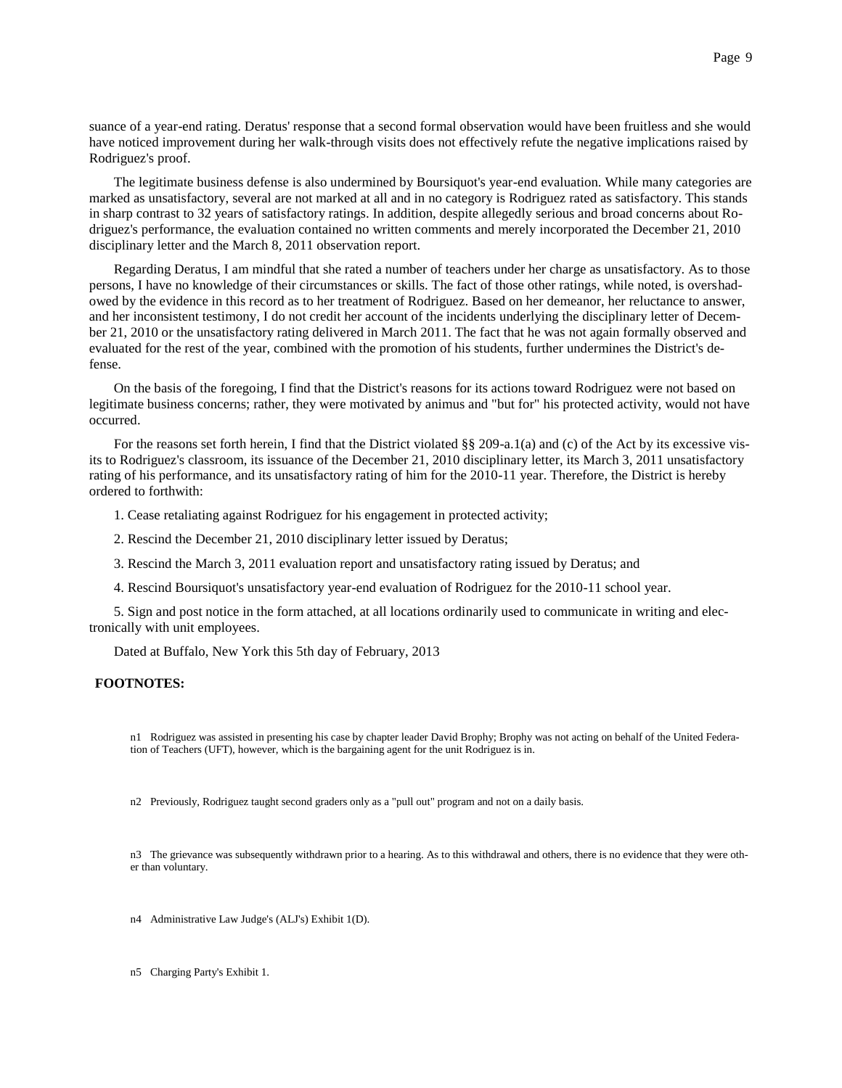suance of a year-end rating. Deratus' response that a second formal observation would have been fruitless and she would have noticed improvement during her walk-through visits does not effectively refute the negative implications raised by Rodriguez's proof.

The legitimate business defense is also undermined by Boursiquot's year-end evaluation. While many categories are marked as unsatisfactory, several are not marked at all and in no category is Rodriguez rated as satisfactory. This stands in sharp contrast to 32 years of satisfactory ratings. In addition, despite allegedly serious and broad concerns about Rodriguez's performance, the evaluation contained no written comments and merely incorporated the December 21, 2010 disciplinary letter and the March 8, 2011 observation report.

Regarding Deratus, I am mindful that she rated a number of teachers under her charge as unsatisfactory. As to those persons, I have no knowledge of their circumstances or skills. The fact of those other ratings, while noted, is overshadowed by the evidence in this record as to her treatment of Rodriguez. Based on her demeanor, her reluctance to answer, and her inconsistent testimony, I do not credit her account of the incidents underlying the disciplinary letter of December 21, 2010 or the unsatisfactory rating delivered in March 2011. The fact that he was not again formally observed and evaluated for the rest of the year, combined with the promotion of his students, further undermines the District's defense.

On the basis of the foregoing, I find that the District's reasons for its actions toward Rodriguez were not based on legitimate business concerns; rather, they were motivated by animus and "but for" his protected activity, would not have occurred.

For the reasons set forth herein, I find that the District violated §§ 209-a.1(a) and (c) of the Act by its excessive visits to Rodriguez's classroom, its issuance of the December 21, 2010 disciplinary letter, its March 3, 2011 unsatisfactory rating of his performance, and its unsatisfactory rating of him for the 2010-11 year. Therefore, the District is hereby ordered to forthwith:

- 1. Cease retaliating against Rodriguez for his engagement in protected activity;
- 2. Rescind the December 21, 2010 disciplinary letter issued by Deratus;
- 3. Rescind the March 3, 2011 evaluation report and unsatisfactory rating issued by Deratus; and
- 4. Rescind Boursiquot's unsatisfactory year-end evaluation of Rodriguez for the 2010-11 school year.

5. Sign and post notice in the form attached, at all locations ordinarily used to communicate in writing and electronically with unit employees.

Dated at Buffalo, New York this 5th day of February, 2013

# **FOOTNOTES:**

n1 Rodriguez was assisted in presenting his case by chapter leader David Brophy; Brophy was not acting on behalf of the United Federation of Teachers (UFT), however, which is the bargaining agent for the unit Rodriguez is in.

n2 Previously, Rodriguez taught second graders only as a "pull out" program and not on a daily basis.

n3 The grievance was subsequently withdrawn prior to a hearing. As to this withdrawal and others, there is no evidence that they were other than voluntary.

n4 Administrative Law Judge's (ALJ's) Exhibit 1(D).

n5 Charging Party's Exhibit 1.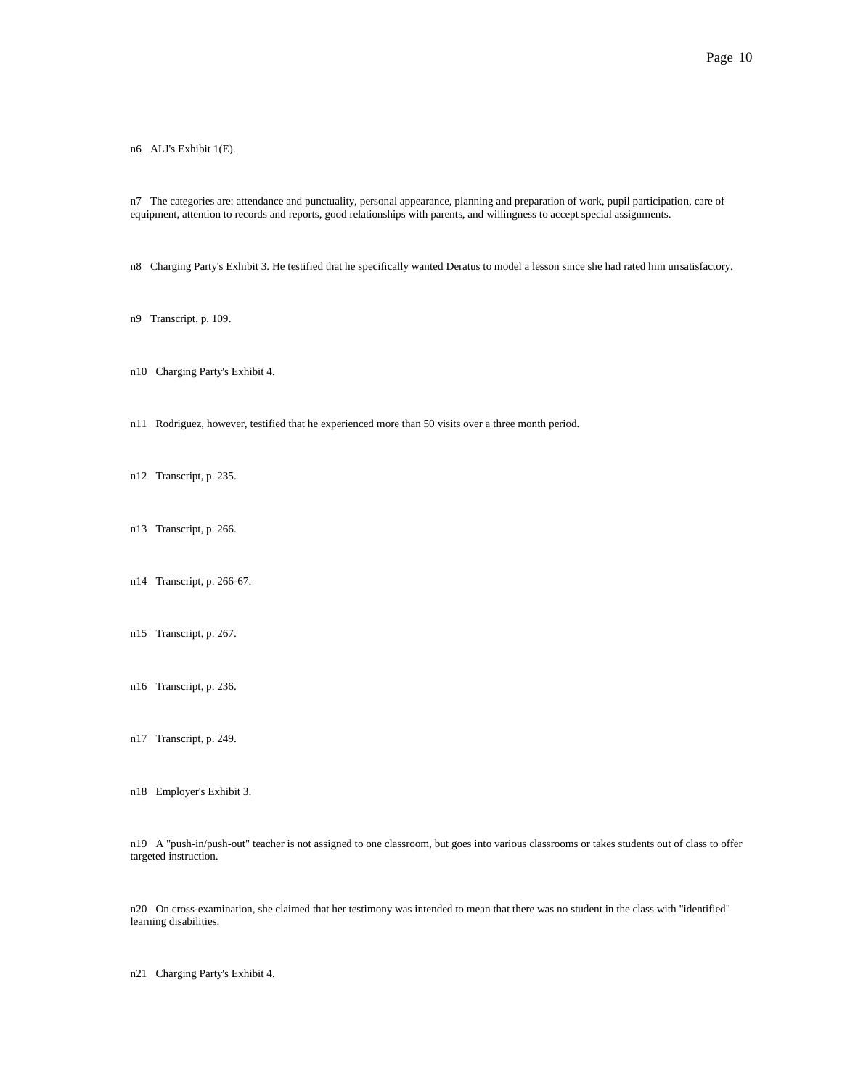n6 ALJ's Exhibit 1(E).

n7 The categories are: attendance and punctuality, personal appearance, planning and preparation of work, pupil participation, care of equipment, attention to records and reports, good relationships with parents, and willingness to accept special assignments.

n8 Charging Party's Exhibit 3. He testified that he specifically wanted Deratus to model a lesson since she had rated him unsatisfactory.

- n9 Transcript, p. 109.
- n10 Charging Party's Exhibit 4.
- n11 Rodriguez, however, testified that he experienced more than 50 visits over a three month period.
- n12 Transcript, p. 235.
- n13 Transcript, p. 266.
- n14 Transcript, p. 266-67.
- n15 Transcript, p. 267.
- n16 Transcript, p. 236.
- n17 Transcript, p. 249.
- n18 Employer's Exhibit 3.

n19 A "push-in/push-out" teacher is not assigned to one classroom, but goes into various classrooms or takes students out of class to offer targeted instruction.

n20 On cross-examination, she claimed that her testimony was intended to mean that there was no student in the class with "identified" learning disabilities.

n21 Charging Party's Exhibit 4.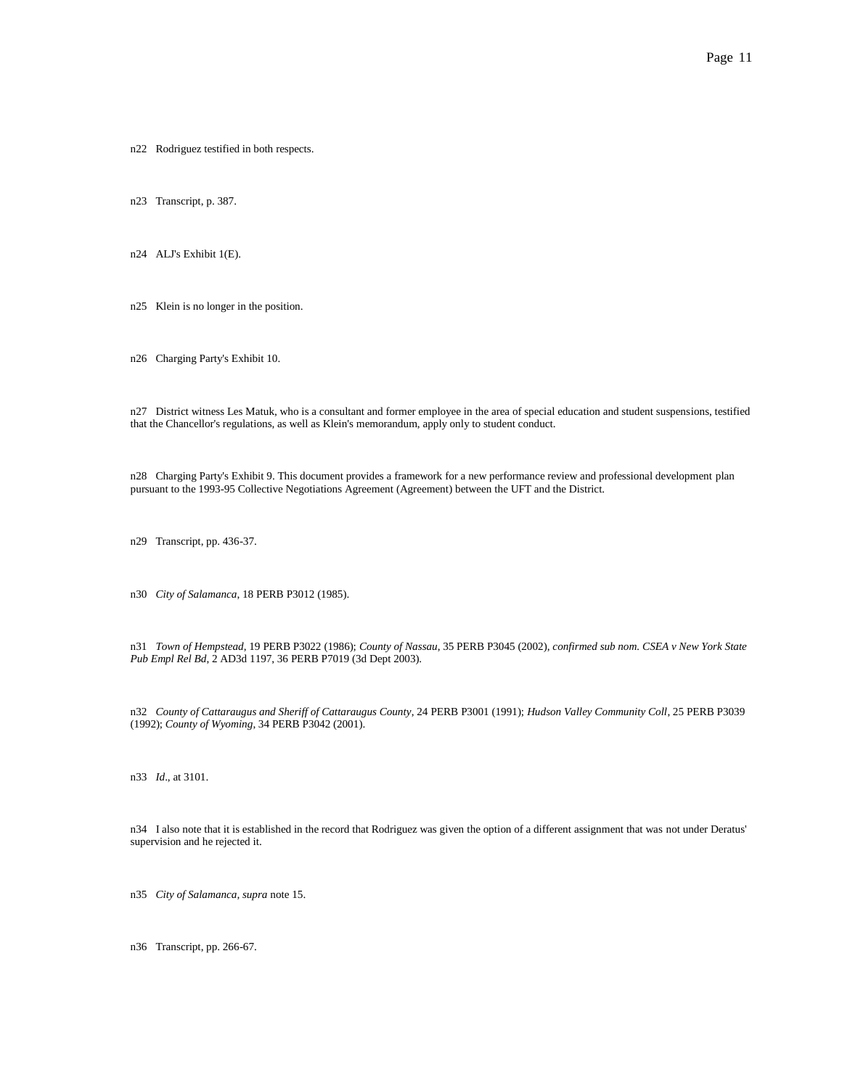n22 Rodriguez testified in both respects.

n23 Transcript, p. 387.

n24 ALJ's Exhibit 1(E).

n25 Klein is no longer in the position.

n26 Charging Party's Exhibit 10.

n27 District witness Les Matuk, who is a consultant and former employee in the area of special education and student suspensions, testified that the Chancellor's regulations, as well as Klein's memorandum, apply only to student conduct.

n28 Charging Party's Exhibit 9. This document provides a framework for a new performance review and professional development plan pursuant to the 1993-95 Collective Negotiations Agreement (Agreement) between the UFT and the District.

n29 Transcript, pp. 436-37.

n30 *City of Salamanca*, 18 PERB P3012 (1985).

n31 *Town of Hempstead*, 19 PERB P3022 (1986); *County of Nassau*, 35 PERB P3045 (2002), *confirmed sub nom. CSEA v New York State Pub Empl Rel Bd*, 2 AD3d 1197, 36 PERB P7019 (3d Dept 2003).

n32 *County of Cattaraugus and Sheriff of Cattaraugus County*, 24 PERB P3001 (1991); *Hudson Valley Community Coll*, 25 PERB P3039 (1992); *County of Wyoming*, 34 PERB P3042 (2001).

n33 *Id*., at 3101.

n34 I also note that it is established in the record that Rodriguez was given the option of a different assignment that was not under Deratus' supervision and he rejected it.

n35 *City of Salamanca, supra* note 15.

n36 Transcript, pp. 266-67.